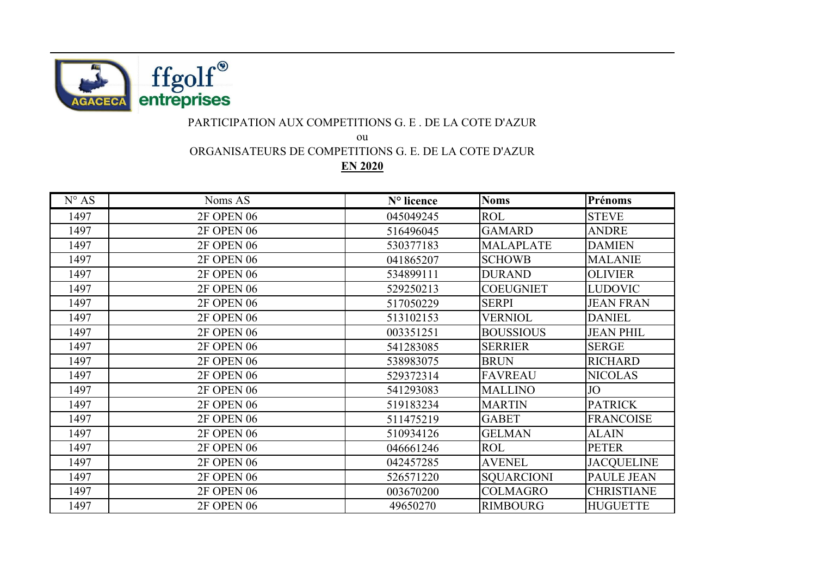

## PARTICIPATION AUX COMPETITIONS G. E . DE LA COTE D'AZUR

ou

ORGANISATEURS DE COMPETITIONS G. E. DE LA COTE D'AZUR

**EN 2020**

| $N^{\circ} AS$ | Noms AS           | N° licence | <b>Noms</b>       | Prénoms           |
|----------------|-------------------|------------|-------------------|-------------------|
| 1497           | <b>2F OPEN 06</b> | 045049245  | <b>ROL</b>        | <b>STEVE</b>      |
| 1497           | <b>2F OPEN 06</b> | 516496045  | <b>GAMARD</b>     | <b>ANDRE</b>      |
| 1497           | <b>2F OPEN 06</b> | 530377183  | <b>MALAPLATE</b>  | <b>DAMIEN</b>     |
| 1497           | <b>2F OPEN 06</b> | 041865207  | <b>SCHOWB</b>     | <b>MALANIE</b>    |
| 1497           | <b>2F OPEN 06</b> | 534899111  | <b>DURAND</b>     | <b>OLIVIER</b>    |
| 1497           | <b>2F OPEN 06</b> | 529250213  | <b>COEUGNIET</b>  | <b>LUDOVIC</b>    |
| 1497           | <b>2F OPEN 06</b> | 517050229  | <b>SERPI</b>      | <b>JEAN FRAN</b>  |
| 1497           | <b>2F OPEN 06</b> | 513102153  | <b>VERNIOL</b>    | <b>DANIEL</b>     |
| 1497           | <b>2F OPEN 06</b> | 003351251  | <b>BOUSSIOUS</b>  | <b>JEAN PHIL</b>  |
| 1497           | <b>2F OPEN 06</b> | 541283085  | <b>SERRIER</b>    | <b>SERGE</b>      |
| 1497           | <b>2F OPEN 06</b> | 538983075  | <b>BRUN</b>       | <b>RICHARD</b>    |
| 1497           | <b>2F OPEN 06</b> | 529372314  | <b>FAVREAU</b>    | <b>NICOLAS</b>    |
| 1497           | <b>2F OPEN 06</b> | 541293083  | <b>MALLINO</b>    | JO                |
| 1497           | <b>2F OPEN 06</b> | 519183234  | <b>MARTIN</b>     | <b>PATRICK</b>    |
| 1497           | <b>2F OPEN 06</b> | 511475219  | <b>GABET</b>      | <b>FRANCOISE</b>  |
| 1497           | <b>2F OPEN 06</b> | 510934126  | <b>GELMAN</b>     | <b>ALAIN</b>      |
| 1497           | <b>2F OPEN 06</b> | 046661246  | <b>ROL</b>        | <b>PETER</b>      |
| 1497           | <b>2F OPEN 06</b> | 042457285  | <b>AVENEL</b>     | <b>JACQUELINE</b> |
| 1497           | <b>2F OPEN 06</b> | 526571220  | <b>SQUARCIONI</b> | <b>PAULE JEAN</b> |
| 1497           | 2F OPEN 06        | 003670200  | <b>COLMAGRO</b>   | <b>CHRISTIANE</b> |
| 1497           | <b>2F OPEN 06</b> | 49650270   | <b>RIMBOURG</b>   | <b>HUGUETTE</b>   |